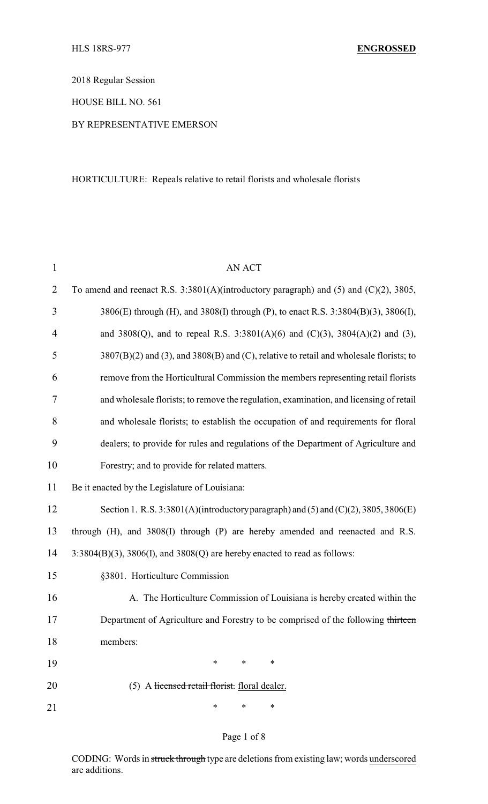2018 Regular Session

HOUSE BILL NO. 561

BY REPRESENTATIVE EMERSON

HORTICULTURE: Repeals relative to retail florists and wholesale florists

| $\mathbf{1}$   | <b>AN ACT</b>                                                                            |  |  |  |  |
|----------------|------------------------------------------------------------------------------------------|--|--|--|--|
| $\overline{2}$ | To amend and reenact R.S. $3:3801(A)$ (introductory paragraph) and (5) and (C)(2), 3805, |  |  |  |  |
| 3              | 3806(E) through (H), and 3808(I) through (P), to enact R.S. 3:3804(B)(3), 3806(I),       |  |  |  |  |
| $\overline{4}$ | and 3808(Q), and to repeal R.S. 3:3801(A)(6) and (C)(3), 3804(A)(2) and (3),             |  |  |  |  |
| 5              | 3807(B)(2) and (3), and 3808(B) and (C), relative to retail and wholesale florists; to   |  |  |  |  |
| 6              | remove from the Horticultural Commission the members representing retail florists        |  |  |  |  |
| 7              | and wholesale florists; to remove the regulation, examination, and licensing of retail   |  |  |  |  |
| 8              | and wholesale florists; to establish the occupation of and requirements for floral       |  |  |  |  |
| 9              | dealers; to provide for rules and regulations of the Department of Agriculture and       |  |  |  |  |
| 10             | Forestry; and to provide for related matters.                                            |  |  |  |  |
| 11             | Be it enacted by the Legislature of Louisiana:                                           |  |  |  |  |
| 12             | Section 1. R.S. 3:3801(A)(introductory paragraph) and (5) and (C)(2), 3805, 3806(E)      |  |  |  |  |
| 13             | through (H), and 3808(I) through (P) are hereby amended and reenacted and R.S.           |  |  |  |  |
| 14             | $3:3804(B)(3)$ , $3806(I)$ , and $3808(Q)$ are hereby enacted to read as follows:        |  |  |  |  |
| 15             | §3801. Horticulture Commission                                                           |  |  |  |  |
| 16             | A. The Horticulture Commission of Louisiana is hereby created within the                 |  |  |  |  |
| 17             | Department of Agriculture and Forestry to be comprised of the following thirteen         |  |  |  |  |
| 18             | members:                                                                                 |  |  |  |  |
| 19             | $\ast$<br>∗<br>∗                                                                         |  |  |  |  |
| 20             | (5) A licensed retail florist. floral dealer.                                            |  |  |  |  |
| 21             | ∗<br>*<br>∗                                                                              |  |  |  |  |

## Page 1 of 8

CODING: Words in struck through type are deletions from existing law; words underscored are additions.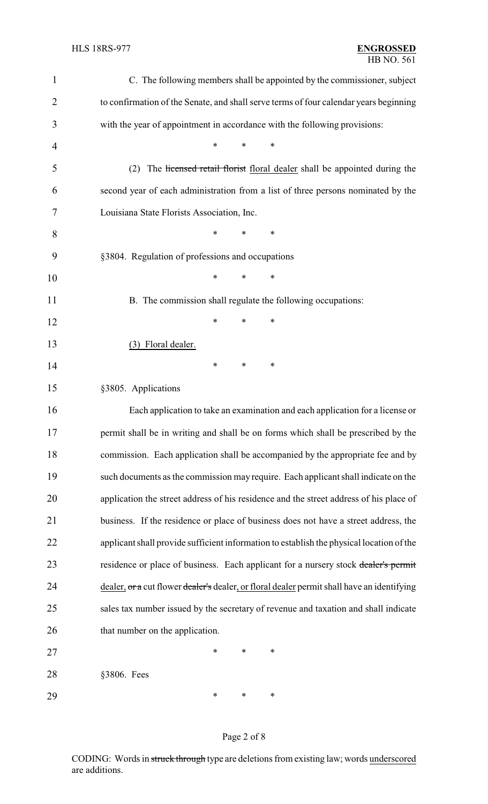| 1              | C. The following members shall be appointed by the commissioner, subject                   |  |  |  |  |
|----------------|--------------------------------------------------------------------------------------------|--|--|--|--|
| $\overline{2}$ | to confirmation of the Senate, and shall serve terms of four calendar years beginning      |  |  |  |  |
| 3              | with the year of appointment in accordance with the following provisions:                  |  |  |  |  |
| 4              | *<br>∗                                                                                     |  |  |  |  |
| 5              | (2)<br>The licensed retail florist floral dealer shall be appointed during the             |  |  |  |  |
| 6              | second year of each administration from a list of three persons nominated by the           |  |  |  |  |
| 7              | Louisiana State Florists Association, Inc.                                                 |  |  |  |  |
| 8              | *<br>$\ast$<br>∗                                                                           |  |  |  |  |
| 9              | §3804. Regulation of professions and occupations                                           |  |  |  |  |
| 10             | *<br>*<br>∗                                                                                |  |  |  |  |
| 11             | B. The commission shall regulate the following occupations:                                |  |  |  |  |
| 12             | ∗<br>*<br>*                                                                                |  |  |  |  |
| 13             | (3) Floral dealer.                                                                         |  |  |  |  |
| 14             | ∗<br>∗<br>∗                                                                                |  |  |  |  |
| 15             | §3805. Applications                                                                        |  |  |  |  |
| 16             | Each application to take an examination and each application for a license or              |  |  |  |  |
| 17             | permit shall be in writing and shall be on forms which shall be prescribed by the          |  |  |  |  |
| 18             | commission. Each application shall be accompanied by the appropriate fee and by            |  |  |  |  |
| 19             | such documents as the commission may require. Each applicant shall indicate on the         |  |  |  |  |
| 20             | application the street address of his residence and the street address of his place of     |  |  |  |  |
| 21             | business. If the residence or place of business does not have a street address, the        |  |  |  |  |
| 22             | applicant shall provide sufficient information to establish the physical location of the   |  |  |  |  |
| 23             | residence or place of business. Each applicant for a nursery stock dealer's permit         |  |  |  |  |
| 24             | dealer, or a cut flower dealer's dealer, or floral dealer permit shall have an identifying |  |  |  |  |
| 25             | sales tax number issued by the secretary of revenue and taxation and shall indicate        |  |  |  |  |
| 26             | that number on the application.                                                            |  |  |  |  |
| 27             | ∗<br>∗<br>*                                                                                |  |  |  |  |
| 28             | §3806. Fees                                                                                |  |  |  |  |
| 29             | ∗<br>∗<br>∗                                                                                |  |  |  |  |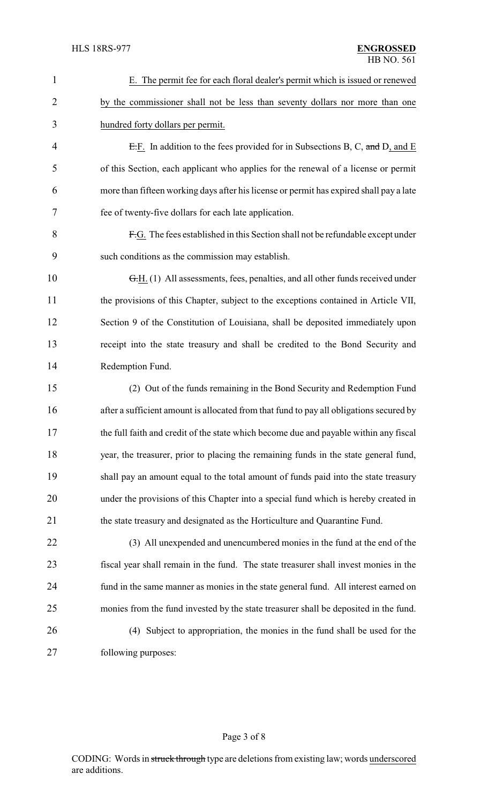| $\mathbf{1}$ | E. The permit fee for each floral dealer's permit which is issued or renewed            |  |  |
|--------------|-----------------------------------------------------------------------------------------|--|--|
| 2            | by the commissioner shall not be less than seventy dollars nor more than one            |  |  |
| 3            | hundred forty dollars per permit.                                                       |  |  |
| 4            | E.F. In addition to the fees provided for in Subsections B, C, and D, and E             |  |  |
| 5            | of this Section, each applicant who applies for the renewal of a license or permit      |  |  |
| 6            | more than fifteen working days after his license or permit has expired shall pay a late |  |  |
| 7            | fee of twenty-five dollars for each late application.                                   |  |  |
| 8            | F.G. The fees established in this Section shall not be refundable except under          |  |  |
| 9            | such conditions as the commission may establish.                                        |  |  |
| 10           | G.H. (1) All assessments, fees, penalties, and all other funds received under           |  |  |
| 11           | the provisions of this Chapter, subject to the exceptions contained in Article VII,     |  |  |
| 12           | Section 9 of the Constitution of Louisiana, shall be deposited immediately upon         |  |  |
| 13           | receipt into the state treasury and shall be credited to the Bond Security and          |  |  |
| 14           | Redemption Fund.                                                                        |  |  |
| 15           | (2) Out of the funds remaining in the Bond Security and Redemption Fund                 |  |  |
| 16           | after a sufficient amount is allocated from that fund to pay all obligations secured by |  |  |
| 17           | the full faith and credit of the state which become due and payable within any fiscal   |  |  |
| 18           | year, the treasurer, prior to placing the remaining funds in the state general fund,    |  |  |
| 19           | shall pay an amount equal to the total amount of funds paid into the state treasury     |  |  |
| 20           | under the provisions of this Chapter into a special fund which is hereby created in     |  |  |
| 21           | the state treasury and designated as the Horticulture and Quarantine Fund.              |  |  |
| 22           | (3) All unexpended and unencumbered monies in the fund at the end of the                |  |  |
| 23           | fiscal year shall remain in the fund. The state treasurer shall invest monies in the    |  |  |
| 24           | fund in the same manner as monies in the state general fund. All interest earned on     |  |  |
| 25           | monies from the fund invested by the state treasurer shall be deposited in the fund.    |  |  |
| 26           | (4) Subject to appropriation, the monies in the fund shall be used for the              |  |  |
| 27           | following purposes:                                                                     |  |  |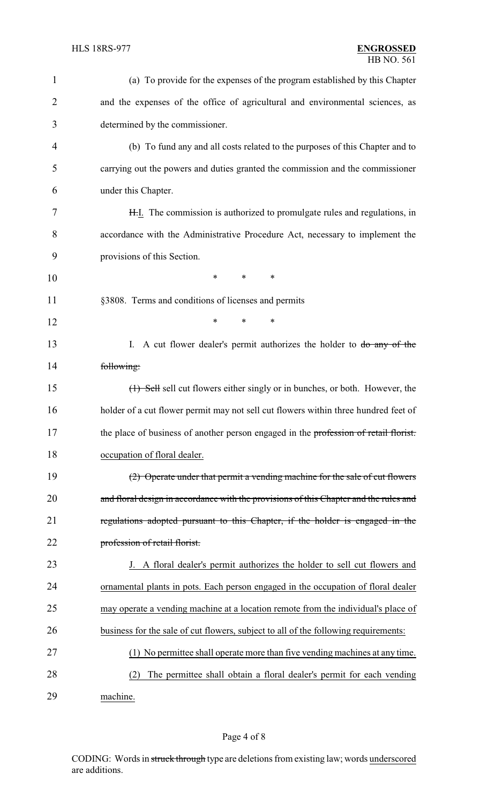| $\mathbf{1}$ | (a) To provide for the expenses of the program established by this Chapter            |
|--------------|---------------------------------------------------------------------------------------|
| 2            | and the expenses of the office of agricultural and environmental sciences, as         |
| 3            | determined by the commissioner.                                                       |
| 4            | (b) To fund any and all costs related to the purposes of this Chapter and to          |
| 5            | carrying out the powers and duties granted the commission and the commissioner        |
| 6            | under this Chapter.                                                                   |
| 7            | H.I. The commission is authorized to promulgate rules and regulations, in             |
| 8            | accordance with the Administrative Procedure Act, necessary to implement the          |
| 9            | provisions of this Section.                                                           |
| 10           | $\ast$<br>*<br>*                                                                      |
| 11           | §3808. Terms and conditions of licenses and permits                                   |
| 12           | *<br>*<br>∗                                                                           |
| 13           | I. A cut flower dealer's permit authorizes the holder to do any of the                |
| 14           | following:                                                                            |
| 15           | (1) Sell sell cut flowers either singly or in bunches, or both. However, the          |
| 16           | holder of a cut flower permit may not sell cut flowers within three hundred feet of   |
| 17           | the place of business of another person engaged in the profession of retail florist.  |
| 18           | occupation of floral dealer.                                                          |
| 19           | (2) Operate under that permit a vending machine for the sale of cut flowers           |
| 20           | and floral design in accordance with the provisions of this Chapter and the rules and |
| 21           | regulations adopted pursuant to this Chapter, if the holder is engaged in the         |
| 22           | profession of retail florist.                                                         |
| 23           | J. A floral dealer's permit authorizes the holder to sell cut flowers and             |
| 24           | ornamental plants in pots. Each person engaged in the occupation of floral dealer     |
| 25           | may operate a vending machine at a location remote from the individual's place of     |
| 26           | business for the sale of cut flowers, subject to all of the following requirements:   |
| 27           | (1) No permittee shall operate more than five vending machines at any time.           |
| 28           | The permittee shall obtain a floral dealer's permit for each vending<br>(2)           |
| 29           | machine.                                                                              |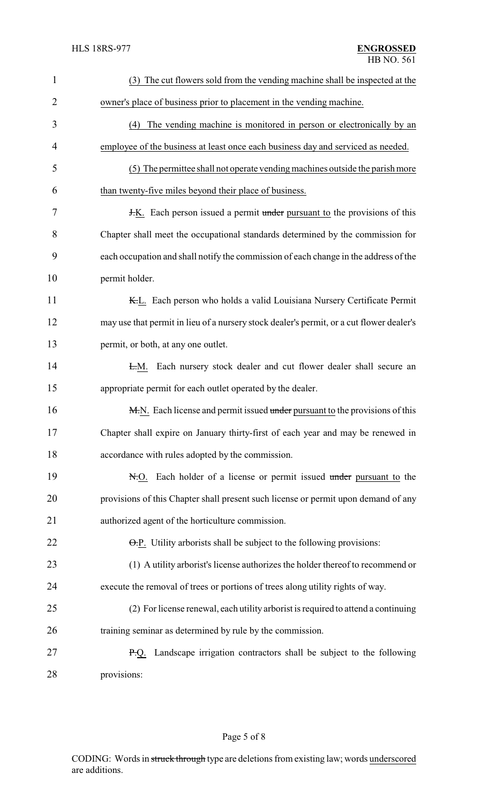| $\mathbf{1}$   | (3) The cut flowers sold from the vending machine shall be inspected at the              |  |  |
|----------------|------------------------------------------------------------------------------------------|--|--|
| $\overline{2}$ | owner's place of business prior to placement in the vending machine.                     |  |  |
| 3              | (4) The vending machine is monitored in person or electronically by an                   |  |  |
| 4              | employee of the business at least once each business day and serviced as needed.         |  |  |
| 5              | (5) The permittee shall not operate vending machines outside the parish more             |  |  |
| 6              | than twenty-five miles beyond their place of business.                                   |  |  |
| 7              | <b>H.K.</b> Each person issued a permit under pursuant to the provisions of this         |  |  |
| 8              | Chapter shall meet the occupational standards determined by the commission for           |  |  |
| 9              | each occupation and shall notify the commission of each change in the address of the     |  |  |
| 10             | permit holder.                                                                           |  |  |
| 11             | K.L. Each person who holds a valid Louisiana Nursery Certificate Permit                  |  |  |
| 12             | may use that permit in lieu of a nursery stock dealer's permit, or a cut flower dealer's |  |  |
| 13             | permit, or both, at any one outlet.                                                      |  |  |
| 14             | Each nursery stock dealer and cut flower dealer shall secure an<br><del>L.</del> М.      |  |  |
| 15             | appropriate permit for each outlet operated by the dealer.                               |  |  |
| 16             | M.N. Each license and permit issued under pursuant to the provisions of this             |  |  |
| 17             | Chapter shall expire on January thirty-first of each year and may be renewed in          |  |  |
| 18             | accordance with rules adopted by the commission.                                         |  |  |
| 19             | N.O. Each holder of a license or permit issued under pursuant to the                     |  |  |
| 20             | provisions of this Chapter shall present such license or permit upon demand of any       |  |  |
| 21             | authorized agent of the horticulture commission.                                         |  |  |
| 22             | $\Theta$ . P. Utility arborists shall be subject to the following provisions:            |  |  |
| 23             | (1) A utility arborist's license authorizes the holder thereof to recommend or           |  |  |
| 24             | execute the removal of trees or portions of trees along utility rights of way.           |  |  |
| 25             | (2) For license renewal, each utility arborist is required to attend a continuing        |  |  |
| 26             | training seminar as determined by rule by the commission.                                |  |  |
| 27             | <b>P.Q.</b> Landscape irrigation contractors shall be subject to the following           |  |  |
| 28             | provisions:                                                                              |  |  |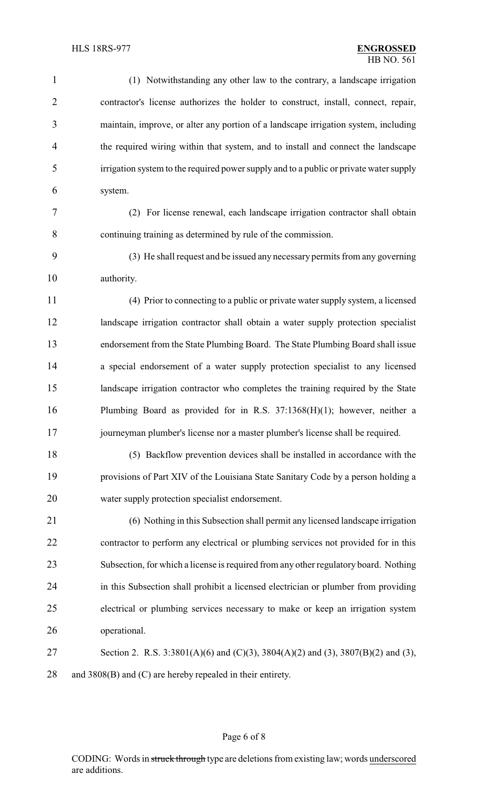(1) Notwithstanding any other law to the contrary, a landscape irrigation contractor's license authorizes the holder to construct, install, connect, repair, maintain, improve, or alter any portion of a landscape irrigation system, including the required wiring within that system, and to install and connect the landscape irrigation system to the required power supply and to a public or private water supply system. (2) For license renewal, each landscape irrigation contractor shall obtain continuing training as determined by rule of the commission. (3) He shall request and be issued any necessary permits from any governing authority. (4) Prior to connecting to a public or private water supply system, a licensed landscape irrigation contractor shall obtain a water supply protection specialist endorsement from the State Plumbing Board. The State Plumbing Board shall issue a special endorsement of a water supply protection specialist to any licensed landscape irrigation contractor who completes the training required by the State Plumbing Board as provided for in R.S. 37:1368(H)(1); however, neither a journeyman plumber's license nor a master plumber's license shall be required. (5) Backflow prevention devices shall be installed in accordance with the provisions of Part XIV of the Louisiana State Sanitary Code by a person holding a water supply protection specialist endorsement. (6) Nothing in this Subsection shall permit any licensed landscape irrigation contractor to perform any electrical or plumbing services not provided for in this Subsection, for which a license is required from any other regulatory board. Nothing in this Subsection shall prohibit a licensed electrician or plumber from providing electrical or plumbing services necessary to make or keep an irrigation system operational. Section 2. R.S. 3:3801(A)(6) and (C)(3), 3804(A)(2) and (3), 3807(B)(2) and (3), 28 and 3808(B) and (C) are hereby repealed in their entirety.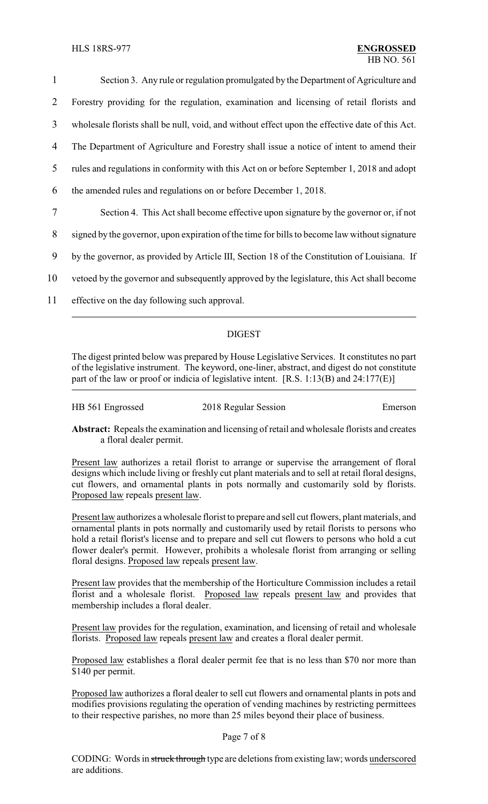| 1  | Section 3. Any rule or regulation promulgated by the Department of Agriculture and              |
|----|-------------------------------------------------------------------------------------------------|
| 2  | Forestry providing for the regulation, examination and licensing of retail florists and         |
| 3  | wholesale florists shall be null, void, and without effect upon the effective date of this Act. |
| 4  | The Department of Agriculture and Forestry shall issue a notice of intent to amend their        |
| 5  | rules and regulations in conformity with this Act on or before September 1, 2018 and adopt      |
| 6  | the amended rules and regulations on or before December 1, 2018.                                |
| 7  | Section 4. This Act shall become effective upon signature by the governor or, if not            |
| 8  | signed by the governor, upon expiration of the time for bills to become law without signature   |
| 9  | by the governor, as provided by Article III, Section 18 of the Constitution of Louisiana. If    |
| 10 | vetoed by the governor and subsequently approved by the legislature, this Act shall become      |

11 effective on the day following such approval.

## DIGEST

The digest printed below was prepared by House Legislative Services. It constitutes no part of the legislative instrument. The keyword, one-liner, abstract, and digest do not constitute part of the law or proof or indicia of legislative intent. [R.S. 1:13(B) and 24:177(E)]

| HB 561 Engrossed | 2018 Regular Session | Emerson |
|------------------|----------------------|---------|
|                  |                      |         |

**Abstract:** Repeals the examination and licensing of retail and wholesale florists and creates a floral dealer permit.

Present law authorizes a retail florist to arrange or supervise the arrangement of floral designs which include living or freshly cut plant materials and to sell at retail floral designs, cut flowers, and ornamental plants in pots normally and customarily sold by florists. Proposed law repeals present law.

Present law authorizes a wholesale florist to prepare and sell cut flowers, plant materials, and ornamental plants in pots normally and customarily used by retail florists to persons who hold a retail florist's license and to prepare and sell cut flowers to persons who hold a cut flower dealer's permit. However, prohibits a wholesale florist from arranging or selling floral designs. Proposed law repeals present law.

Present law provides that the membership of the Horticulture Commission includes a retail florist and a wholesale florist. Proposed law repeals present law and provides that membership includes a floral dealer.

Present law provides for the regulation, examination, and licensing of retail and wholesale florists. Proposed law repeals present law and creates a floral dealer permit.

Proposed law establishes a floral dealer permit fee that is no less than \$70 nor more than \$140 per permit.

Proposed law authorizes a floral dealer to sell cut flowers and ornamental plants in pots and modifies provisions regulating the operation of vending machines by restricting permittees to their respective parishes, no more than 25 miles beyond their place of business.

## Page 7 of 8

CODING: Words in struck through type are deletions from existing law; words underscored are additions.